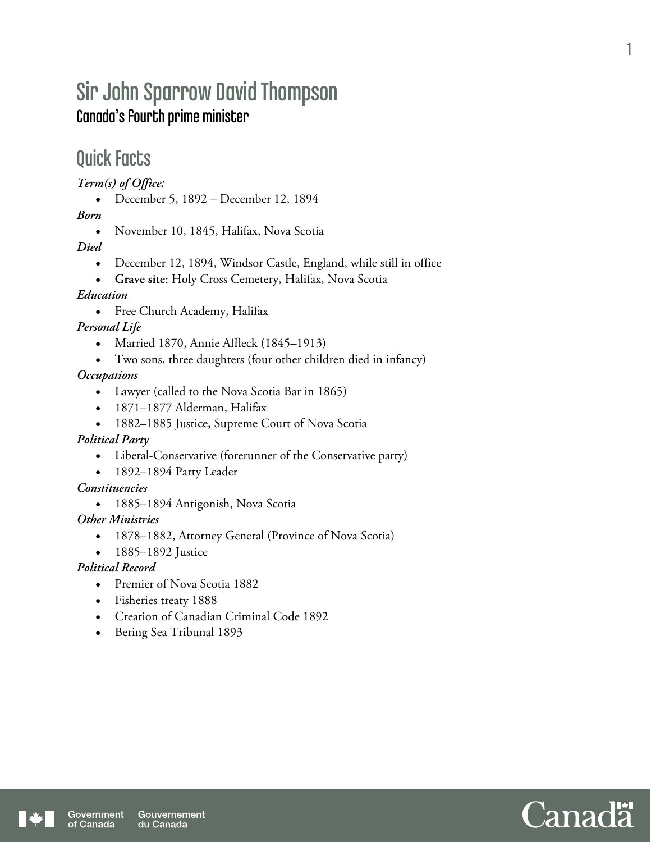# Sir John Sparrow David Thompson Canada's fourth prime minister

## Quick Facts

*Term(s) of Office:* 

December 5, 1892 – December 12, 1894

*Born* 

• November 10, 1845, Halifax, Nova Scotia

*Died* 

- December 12, 1894, Windsor Castle, England, while still in office
- **Grave site**: Holy Cross Cemetery, Halifax, Nova Scotia

#### *Education*

Free Church Academy, Halifax

### *Personal Life*

- Married 1870, Annie Affleck (1845–1913)
- Two sons, three daughters (four other children died in infancy)

#### *Occupations*

- Lawyer (called to the Nova Scotia Bar in 1865)
- 1871–1877 Alderman, Halifax
- 1882–1885 Justice, Supreme Court of Nova Scotia

#### *Political Party*

- Liberal-Conservative (forerunner of the Conservative party)
- 1892–1894 Party Leader

#### *Constituencies*

1885–1894 Antigonish, Nova Scotia

#### *Other Ministries*

- 1878–1882, Attorney General (Province of Nova Scotia)
- 1885–1892 Justice

### *Political Record*

- Premier of Nova Scotia 1882
- Fisheries treaty 1888
- Creation of Canadian Criminal Code 1892
- Bering Sea Tribunal 1893



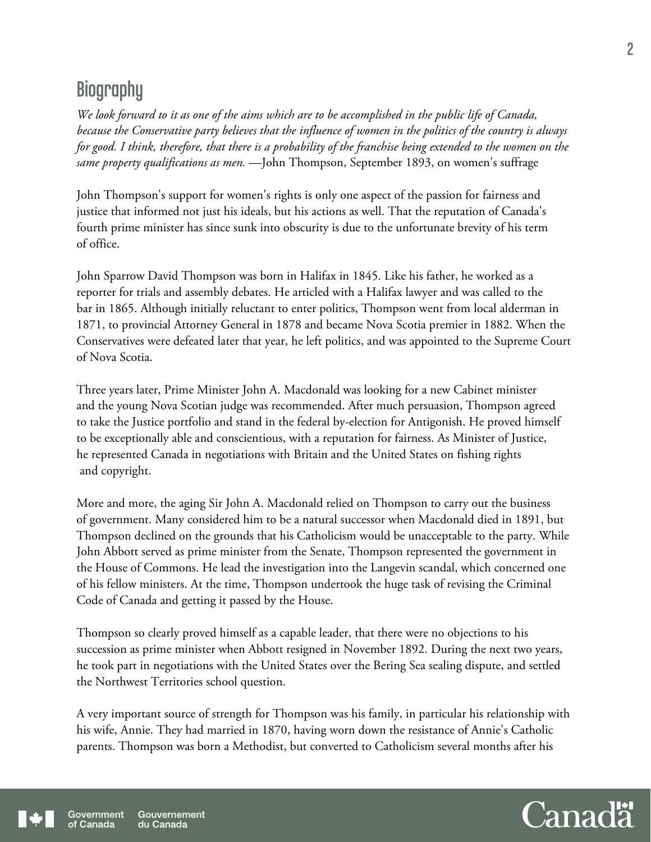# **Biography**

*We look forward to it as one of the aims which are to be accomplished in the public life of Canada, because the Conservative party believes that the influence of women in the politics of the country is always for good. I think, therefore, that there is a probability of the franchise being extended to the women on the same property qualifications as men.* —John Thompson, September 1893, on women's suffrage

John Thompson's support for women's rights is only one aspect of the passion for fairness and justice that informed not just his ideals, but his actions as well. That the reputation of Canada's fourth prime minister has since sunk into obscurity is due to the unfortunate brevity of his term of office.

John Sparrow David Thompson was born in Halifax in 1845. Like his father, he worked as a reporter for trials and assembly debates. He articled with a Halifax lawyer and was called to the bar in 1865. Although initially reluctant to enter politics, Thompson went from local alderman in 1871, to provincial Attorney General in 1878 and became Nova Scotia premier in 1882. When the Conservatives were defeated later that year, he left politics, and was appointed to the Supreme Court of Nova Scotia.

Three years later, Prime Minister John A. Macdonald was looking for a new Cabinet minister and the young Nova Scotian judge was recommended. After much persuasion, Thompson agreed to take the Justice portfolio and stand in the federal by-election for Antigonish. He proved himself to be exceptionally able and conscientious, with a reputation for fairness. As Minister of Justice, he represented Canada in negotiations with Britain and the United States on fishing rights and copyright.

More and more, the aging Sir John A. Macdonald relied on Thompson to carry out the business of government. Many considered him to be a natural successor when Macdonald died in 1891, but Thompson declined on the grounds that his Catholicism would be unacceptable to the party. While John Abbott served as prime minister from the Senate, Thompson represented the government in the House of Commons. He lead the investigation into the Langevin scandal, which concerned one of his fellow ministers. At the time, Thompson undertook the huge task of revising the Criminal Code of Canada and getting it passed by the House.

Thompson so clearly proved himself as a capable leader, that there were no objections to his succession as prime minister when Abbott resigned in November 1892. During the next two years, he took part in negotiations with the United States over the Bering Sea sealing dispute, and settled the Northwest Territories school question.

A very important source of strength for Thompson was his family, in particular his relationship with his wife, Annie. They had married in 1870, having worn down the resistance of Annie's Catholic parents. Thompson was born a Methodist, but converted to Catholicism several months after his

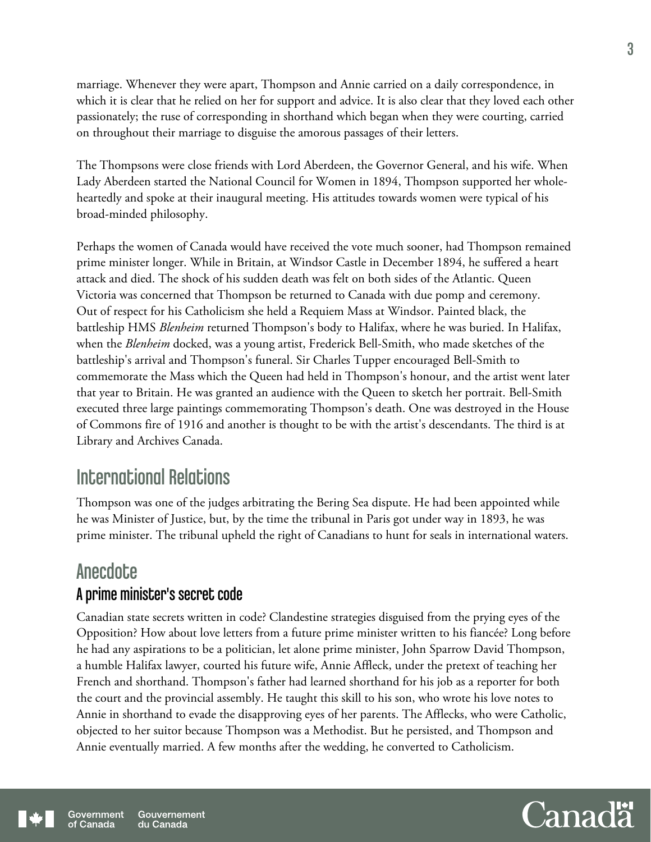marriage. Whenever they were apart, Thompson and Annie carried on a daily correspondence, in which it is clear that he relied on her for support and advice. It is also clear that they loved each other passionately; the ruse of corresponding in shorthand which began when they were courting, carried on throughout their marriage to disguise the amorous passages of their letters.

The Thompsons were close friends with Lord Aberdeen, the Governor General, and his wife. When Lady Aberdeen started the National Council for Women in 1894, Thompson supported her wholeheartedly and spoke at their inaugural meeting. His attitudes towards women were typical of his broad-minded philosophy.

Perhaps the women of Canada would have received the vote much sooner, had Thompson remained prime minister longer. While in Britain, at Windsor Castle in December 1894, he suffered a heart attack and died. The shock of his sudden death was felt on both sides of the Atlantic. Queen Victoria was concerned that Thompson be returned to Canada with due pomp and ceremony. Out of respect for his Catholicism she held a Requiem Mass at Windsor. Painted black, the battleship HMS *Blenheim* returned Thompson's body to Halifax, where he was buried. In Halifax, when the *Blenheim* docked, was a young artist, Frederick Bell-Smith, who made sketches of the battleship's arrival and Thompson's funeral. Sir Charles Tupper encouraged Bell-Smith to commemorate the Mass which the Queen had held in Thompson's honour, and the artist went later that year to Britain. He was granted an audience with the Queen to sketch her portrait. Bell-Smith executed three large paintings commemorating Thompson's death. One was destroyed in the House of Commons fire of 1916 and another is thought to be with the artist's descendants. The third is at Library and Archives Canada.

## International Relations

Thompson was one of the judges arbitrating the Bering Sea dispute. He had been appointed while he was Minister of Justice, but, by the time the tribunal in Paris got under way in 1893, he was prime minister. The tribunal upheld the right of Canadians to hunt for seals in international waters.

## **Anecdote** A prime minister's secret code

Canadian state secrets written in code? Clandestine strategies disguised from the prying eyes of the Opposition? How about love letters from a future prime minister written to his fiancée? Long before he had any aspirations to be a politician, let alone prime minister, John Sparrow David Thompson, a humble Halifax lawyer, courted his future wife, Annie Affleck, under the pretext of teaching her French and shorthand. Thompson's father had learned shorthand for his job as a reporter for both the court and the provincial assembly. He taught this skill to his son, who wrote his love notes to Annie in shorthand to evade the disapproving eyes of her parents. The Afflecks, who were Catholic, objected to her suitor because Thompson was a Methodist. But he persisted, and Thompson and Annie eventually married. A few months after the wedding, he converted to Catholicism.